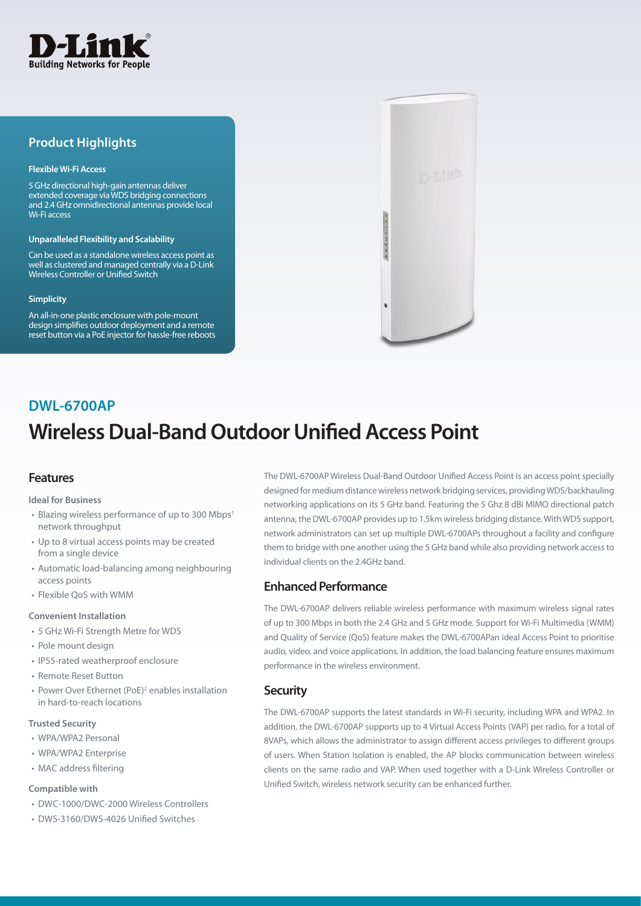

# **Product Highlights**

### **Flexible Wi-Fi Access**

5 GHz directional high-gain antennas deliver extended coverage via WDS bridging connections and 2.4 GHz omnidirectional antennas provide local Wi-Fi access

#### **Unparalleled Flexibility and Scalability**

Can be used as a standalone wireless access point as well as clustered and managed centrally via a D-Link Wireless Controller or Unified Switch

#### **Simplicity**

An all-in-one plastic enclosure with pole-mount design simplifies outdoor deployment and a remote reset button via a PoE injector for hassle-free reboots



# **Wireless Dual-Band Outdoor Unified Access Point DWL-6700AP**

# **Features**

**Ideal for Business**

- Blazing wireless performance of up to 300 Mbps<sup>1</sup> network throughput
- Up to 8 virtual access points may be created from a single device
- Automatic load-balancing among neighbouring access points
- Flexible QoS with WMM

### **Convenient Installation**

- 5 GHz Wi-Fi Strength Metre for WDS
- Pole mount design
- IP55-rated weatherproof enclosure
- Remote Reset Button
- Power Over Ethernet (PoE)<sup>2</sup> enables installation in hard-to-reach locations

### **Trusted Security**

- WPA/WPA2 Personal
- WPA/WPA2 Enterprise
- MAC address filtering

### **Compatible with**

- DWC-1000/DWC-2000 Wireless Controllers
- DWS-3160/DWS-4026 Unified Switches

The DWL-6700AP Wireless Dual-Band Outdoor Unified Access Point is an access point specially designed for medium distance wireless network bridging services, providing WDS/backhauling networking applications on its 5 GHz band. Featuring the 5 Ghz 8 dBi MIMO directional patch antenna, the DWL-6700AP provides up to 1.5km wireless bridging distance. With WDS support, network administrators can set up multiple DWL-6700APs throughout a facility and configure them to bridge with one another using the 5 GHz band while also providing network access to individual clients on the 2.4GHz band.

# **Enhanced Performance**

The DWL-6700AP delivers reliable wireless performance with maximum wireless signal rates of up to 300 Mbps in both the 2.4 GHz and 5 GHz mode. Support for Wi-Fi Multimedia (WMM) and Quality of Service (QoS) feature makes the DWL-6700APan ideal Access Point to prioritise audio, video, and voice applications. In addition, the load balancing feature ensures maximum performance in the wireless environment.

## **Security**

The DWL-6700AP supports the latest standards in Wi-Fi security, including WPA and WPA2. In addition, the DWL-6700AP supports up to 4 Virtual Access Points (VAP) per radio, for a total of 8VAPs, which allows the administrator to assign different access privileges to different groups of users. When Station Isolation is enabled, the AP blocks communication between wireless clients on the same radio and VAP. When used together with a D-Link Wireless Controller or Unified Switch, wireless network security can be enhanced further.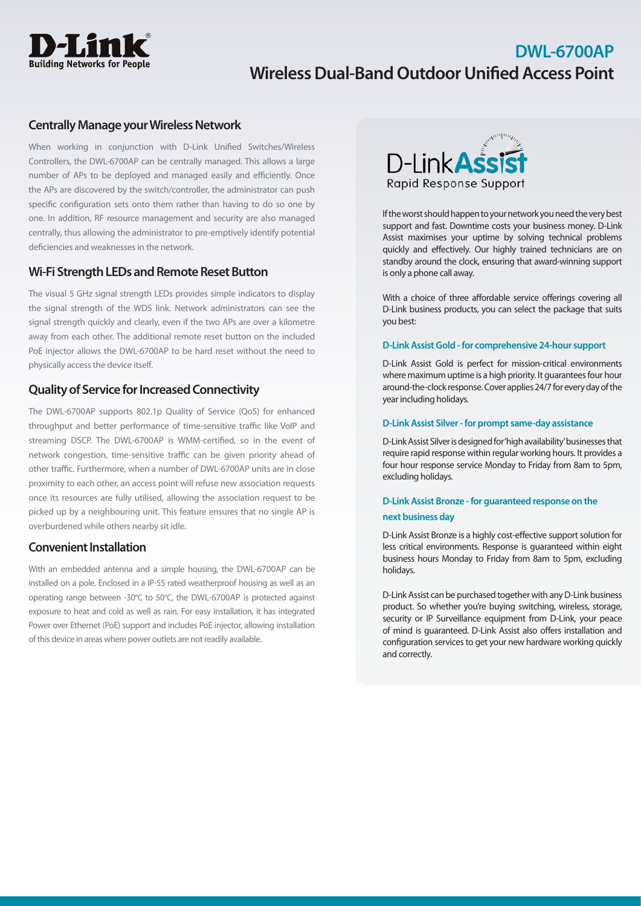

# **DWL-6700AP Wireless Dual-Band Outdoor Unified Access Point**

# **Centrally Manage your Wireless Network**

When working in conjunction with D-Link Unified Switches/Wireless Controllers, the DWL-6700AP can be centrally managed. This allows a large number of APs to be deployed and managed easily and efficiently. Once the APs are discovered by the switch/controller, the administrator can push specific configuration sets onto them rather than having to do so one by one. In addition, RF resource management and security are also managed centrally, thus allowing the administrator to pre-emptively identify potential deficiencies and weaknesses in the network.

# **Wi-Fi Strength LEDs and Remote Reset Button**

The visual 5 GHz signal strength LEDs provides simple indicators to display the signal strength of the WDS link. Network administrators can see the signal strength quickly and clearly, even if the two APs are over a kilometre away from each other. The additional remote reset button on the included PoE injector allows the DWL-6700AP to be hard reset without the need to physically access the device itself.

# **Quality of Service for Increased Connectivity**

The DWL-6700AP supports 802.1p Quality of Service (QoS) for enhanced throughput and better performance of time-sensitive traffic like VoIP and streaming DSCP. The DWL-6700AP is WMM-certified, so in the event of network congestion, time-sensitive traffic can be given priority ahead of other traffic. Furthermore, when a number of DWL-6700AP units are in close proximity to each other, an access point will refuse new association requests once its resources are fully utilised, allowing the association request to be picked up by a neighbouring unit. This feature ensures that no single AP is overburdened while others nearby sit idle.

## **Convenient Installation**

With an embedded antenna and a simple housing, the DWL-6700AP can be installed on a pole. Enclosed in a IP-55 rated weatherproof housing as well as an operating range between -30°C to 50°C, the DWL-6700AP is protected against exposure to heat and cold as well as rain. For easy installation, it has integrated Power over Ethernet (PoE) support and includes PoE injector, allowing installation of this device in areas where power outlets are not readily available.



If the worst should happen to your network you need the very best support and fast. Downtime costs your business money. D-Link Assist maximises your uptime by solving technical problems quickly and effectively. Our highly trained technicians are on standby around the clock, ensuring that award-winning support is only a phone call away.

With a choice of three affordable service offerings covering all D-Link business products, you can select the package that suits you best:

### **D-Link Assist Gold - for comprehensive 24-hour support**

D-Link Assist Gold is perfect for mission-critical environments where maximum uptime is a high priority. It guarantees four hour around-the-clock response. Cover applies 24/7 for every day of the year including holidays.

### **D-Link Assist Silver - for prompt same-day assistance**

D-Link Assist Silver is designed for 'high availability' businesses that require rapid response within regular working hours. It provides a four hour response service Monday to Friday from 8am to 5pm, excluding holidays.

## **D-Link Assist Bronze - for guaranteed response on the**

### **next business day**

D-Link Assist Bronze is a highly cost-effective support solution for less critical environments. Response is guaranteed within eight business hours Monday to Friday from 8am to 5pm, excluding holidays.

D-Link Assist can be purchased together with any D-Link business product. So whether you're buying switching, wireless, storage, security or IP Surveillance equipment from D-Link, your peace of mind is guaranteed. D-Link Assist also offers installation and configuration services to get your new hardware working quickly and correctly.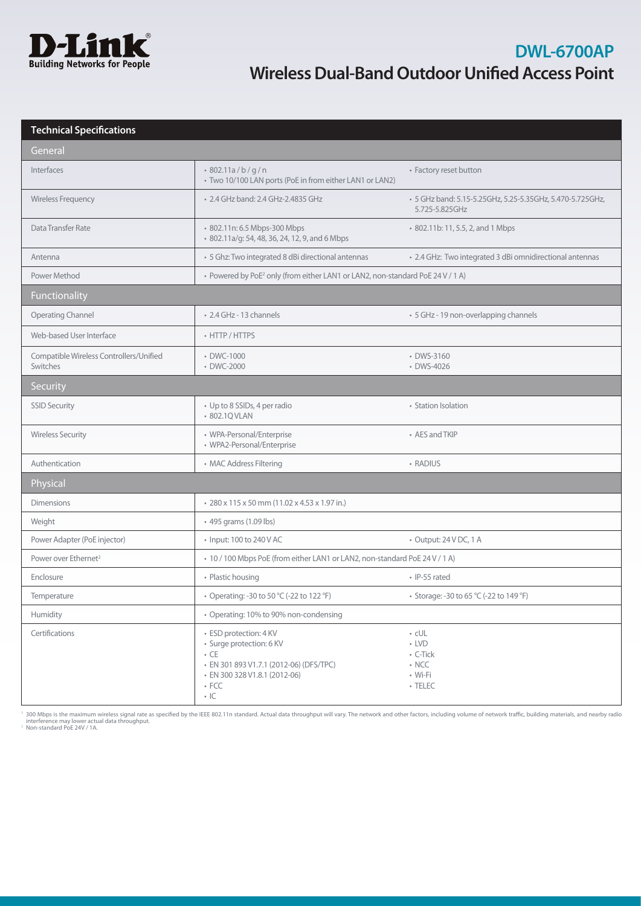

| <b>Technical Specifications</b>                     |                                                                                                                                                                           |                                                                                   |
|-----------------------------------------------------|---------------------------------------------------------------------------------------------------------------------------------------------------------------------------|-----------------------------------------------------------------------------------|
| General                                             |                                                                                                                                                                           |                                                                                   |
| Interfaces                                          | 802.11a/b/q/n<br>• Two 10/100 LAN ports (PoE in from either LAN1 or LAN2)                                                                                                 | • Factory reset button                                                            |
| Wireless Frequency                                  | • 2.4 GHz band: 2.4 GHz-2.4835 GHz                                                                                                                                        | · 5 GHz band: 5.15-5.25GHz, 5.25-5.35GHz, 5.470-5.725GHz,<br>5.725-5.825GHz       |
| Data Transfer Rate                                  | · 802.11n: 6.5 Mbps-300 Mbps<br>• 802.11a/g: 54, 48, 36, 24, 12, 9, and 6 Mbps                                                                                            | • 802.11b: 11, 5.5, 2, and 1 Mbps                                                 |
| Antenna                                             | · 5 Ghz: Two integrated 8 dBi directional antennas                                                                                                                        | • 2.4 GHz: Two integrated 3 dBi omnidirectional antennas                          |
| Power Method                                        | • Powered by PoE <sup>2</sup> only (from either LAN1 or LAN2, non-standard PoE 24 V / 1 A)                                                                                |                                                                                   |
| Functionality                                       |                                                                                                                                                                           |                                                                                   |
| <b>Operating Channel</b>                            | • 2.4 GHz - 13 channels                                                                                                                                                   | • 5 GHz - 19 non-overlapping channels                                             |
| Web-based User Interface                            | • HTTP / HTTPS                                                                                                                                                            |                                                                                   |
| Compatible Wireless Controllers/Unified<br>Switches | • DWC-1000<br>• DWC-2000                                                                                                                                                  | • DWS-3160<br>• DWS-4026                                                          |
| Security                                            |                                                                                                                                                                           |                                                                                   |
| <b>SSID Security</b>                                | • Up to 8 SSIDs, 4 per radio<br>• 802.1Q VLAN                                                                                                                             | • Station Isolation                                                               |
| <b>Wireless Security</b>                            | • WPA-Personal/Enterprise<br>• WPA2-Personal/Enterprise                                                                                                                   | • AES and TKIP                                                                    |
| Authentication                                      | • MAC Address Filtering                                                                                                                                                   | • RADIUS                                                                          |
| Physical                                            |                                                                                                                                                                           |                                                                                   |
| <b>Dimensions</b>                                   | • 280 x 115 x 50 mm (11.02 x 4.53 x 1.97 in.)                                                                                                                             |                                                                                   |
| Weight                                              | • 495 grams (1.09 lbs)                                                                                                                                                    |                                                                                   |
| Power Adapter (PoE injector)                        | • Input: 100 to 240 V AC                                                                                                                                                  | • Output: 24 V DC, 1 A                                                            |
| Power over Ethernet <sup>2</sup>                    | • 10 / 100 Mbps PoE (from either LAN1 or LAN2, non-standard PoE 24 V / 1 A)                                                                                               |                                                                                   |
| Enclosure                                           | • Plastic housing                                                                                                                                                         | · IP-55 rated                                                                     |
| Temperature                                         | • Operating: -30 to 50 °C (-22 to 122 °F)                                                                                                                                 | • Storage: -30 to 65 °C (-22 to 149 °F)                                           |
| Humidity                                            | • Operating: 10% to 90% non-condensing                                                                                                                                    |                                                                                   |
| Certifications                                      | · ESD protection: 4 KV<br>· Surge protection: 6 KV<br>$\cdot$ CE<br>· EN 301 893 V1.7.1 (2012-06) (DFS/TPC)<br>· EN 300 328 V1.8.1 (2012-06)<br>$\cdot$ FCC<br>$\cdot$ IC | $\cdot$ cUL<br>$\cdot$ LVD<br>• C-Tick<br>$\cdot$ NCC<br>• Wi-Fi<br>$\cdot$ TELEC |

<sup>1</sup> 300 Mbps is the maximum wireless signal rate as specified by the IEEE 802.11n standard. Actual data throughput will vary. The network and other factors, including volume of network traffic, building materials, and nea